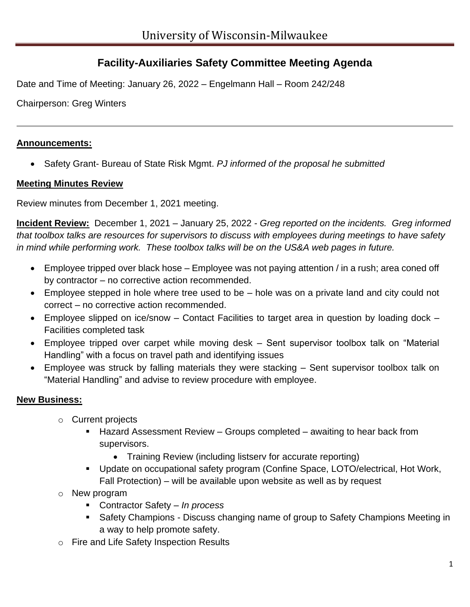# **Facility-Auxiliaries Safety Committee Meeting Agenda**

Date and Time of Meeting: January 26, 2022 – Engelmann Hall – Room 242/248

Chairperson: Greg Winters

## **Announcements:**

• Safety Grant- Bureau of State Risk Mgmt. *PJ informed of the proposal he submitted*

### **Meeting Minutes Review**

Review minutes from December 1, 2021 meeting.

**Incident Review:** December 1, 2021 – January 25, 2022 - *Greg reported on the incidents. Greg informed that toolbox talks are resources for supervisors to discuss with employees during meetings to have safety in mind while performing work. These toolbox talks will be on the US&A web pages in future.*

- Employee tripped over black hose Employee was not paying attention / in a rush; area coned off by contractor – no corrective action recommended.
- Employee stepped in hole where tree used to be hole was on a private land and city could not correct – no corrective action recommended.
- Employee slipped on ice/snow Contact Facilities to target area in question by loading dock Facilities completed task
- Employee tripped over carpet while moving desk Sent supervisor toolbox talk on "Material Handling" with a focus on travel path and identifying issues
- Employee was struck by falling materials they were stacking Sent supervisor toolbox talk on "Material Handling" and advise to review procedure with employee.

## **New Business:**

- o Current projects
	- Hazard Assessment Review Groups completed awaiting to hear back from supervisors.
		- Training Review (including listserv for accurate reporting)
	- Update on occupational safety program (Confine Space, LOTO/electrical, Hot Work, Fall Protection) – will be available upon website as well as by request
- o New program
	- Contractor Safety *In process*
	- Safety Champions Discuss changing name of group to Safety Champions Meeting in a way to help promote safety.
- o Fire and Life Safety Inspection Results